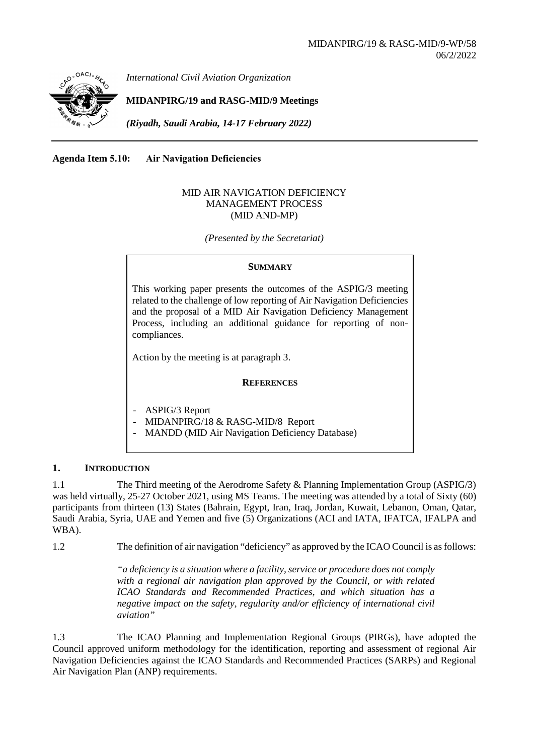

*International Civil Aviation Organization*

**MIDANPIRG/19 and RASG-MID/9 Meetings**

*(Riyadh, Saudi Arabia, 14-17 February 2022)* 

**Agenda Item 5.10: Air Navigation Deficiencies**

## MID AIR NAVIGATION DEFICIENCY MANAGEMENT PROCESS (MID AND-MP)

*(Presented by the Secretariat)* 

### **SUMMARY**

This working paper presents the outcomes of the ASPIG/3 meeting related to the challenge of low reporting of Air Navigation Deficiencies and the proposal of a MID Air Navigation Deficiency Management Process, including an additional guidance for reporting of noncompliances.

Action by the meeting is at paragraph 3.

### **REFERENCES**

- ASPIG/3 Report
- MIDANPIRG/18 & RASG-MID/8 Report
- MANDD (MID Air Navigation Deficiency Database)

## **1. INTRODUCTION**

1.1 The Third meeting of the Aerodrome Safety & Planning Implementation Group (ASPIG/3) was held virtually, 25-27 October 2021, using MS Teams. The meeting was attended by a total of Sixty (60) participants from thirteen (13) States (Bahrain, Egypt, Iran, Iraq, Jordan, Kuwait, Lebanon, Oman, Qatar, Saudi Arabia, Syria, UAE and Yemen and five (5) Organizations (ACI and IATA, IFATCA, IFALPA and WBA).

1.2 The definition of air navigation "deficiency" as approved by the ICAO Council is as follows:

*"a deficiency is a situation where a facility, service or procedure does not comply with a regional air navigation plan approved by the Council, or with related ICAO Standards and Recommended Practices, and which situation has a negative impact on the safety, regularity and/or efficiency of international civil aviation"*

1.3 The ICAO Planning and Implementation Regional Groups (PIRGs), have adopted the Council approved uniform methodology for the identification, reporting and assessment of regional Air Navigation Deficiencies against the ICAO Standards and Recommended Practices (SARPs) and Regional Air Navigation Plan (ANP) requirements.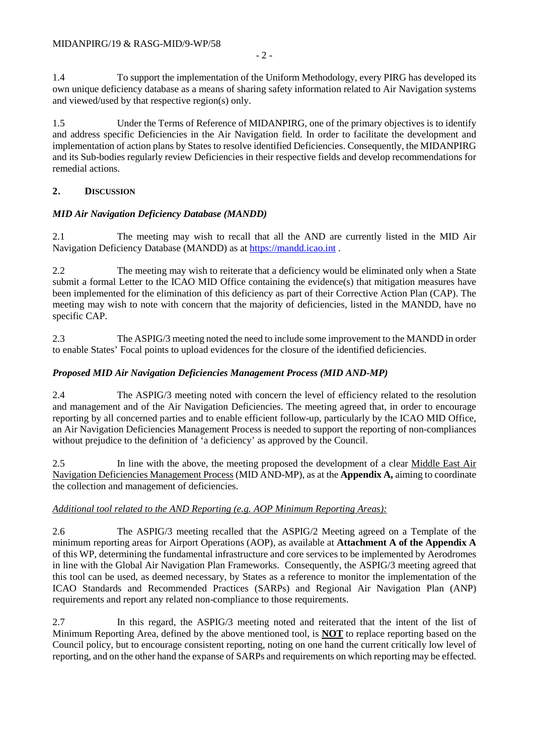1.4 To support the implementation of the Uniform Methodology, every PIRG has developed its own unique deficiency database as a means of sharing safety information related to Air Navigation systems and viewed/used by that respective region(s) only.

1.5 Under the Terms of Reference of MIDANPIRG, one of the primary objectives is to identify and address specific Deficiencies in the Air Navigation field. In order to facilitate the development and implementation of action plans by States to resolve identified Deficiencies. Consequently, the MIDANPIRG and its Sub-bodies regularly review Deficiencies in their respective fields and develop recommendations for remedial actions.

## **2. DISCUSSION**

## *MID Air Navigation Deficiency Database (MANDD)*

2.1 The meeting may wish to recall that all the AND are currently listed in the MID Air Navigation Deficiency Database (MANDD) as at [https://mandd.icao.int](https://mandd.icao.int/) .

2.2 The meeting may wish to reiterate that a deficiency would be eliminated only when a State submit a formal Letter to the ICAO MID Office containing the evidence(s) that mitigation measures have been implemented for the elimination of this deficiency as part of their Corrective Action Plan (CAP). The meeting may wish to note with concern that the majority of deficiencies, listed in the MANDD, have no specific CAP.

2.3 The ASPIG/3 meeting noted the need to include some improvement to the MANDD in order to enable States' Focal points to upload evidences for the closure of the identified deficiencies.

## *Proposed MID Air Navigation Deficiencies Management Process (MID AND-MP)*

2.4 The ASPIG/3 meeting noted with concern the level of efficiency related to the resolution and management and of the Air Navigation Deficiencies. The meeting agreed that, in order to encourage reporting by all concerned parties and to enable efficient follow-up, particularly by the ICAO MID Office, an Air Navigation Deficiencies Management Process is needed to support the reporting of non-compliances without prejudice to the definition of 'a deficiency' as approved by the Council.

2.5 In line with the above, the meeting proposed the development of a clear Middle East Air Navigation Deficiencies Management Process (MID AND-MP), as at the **Appendix A,** aiming to coordinate the collection and management of deficiencies.

## *Additional tool related to the AND Reporting (e.g. AOP Minimum Reporting Areas):*

2.6 The ASPIG/3 meeting recalled that the ASPIG/2 Meeting agreed on a Template of the minimum reporting areas for Airport Operations (AOP), as available at **Attachment A of the Appendix A** of this WP, determining the fundamental infrastructure and core services to be implemented by Aerodromes in line with the Global Air Navigation Plan Frameworks. Consequently, the ASPIG/3 meeting agreed that this tool can be used, as deemed necessary, by States as a reference to monitor the implementation of the ICAO Standards and Recommended Practices (SARPs) and Regional Air Navigation Plan (ANP) requirements and report any related non-compliance to those requirements.

2.7 In this regard, the ASPIG/3 meeting noted and reiterated that the intent of the list of Minimum Reporting Area, defined by the above mentioned tool, is **NOT** to replace reporting based on the Council policy, but to encourage consistent reporting, noting on one hand the current critically low level of reporting, and on the other hand the expanse of SARPs and requirements on which reporting may be effected.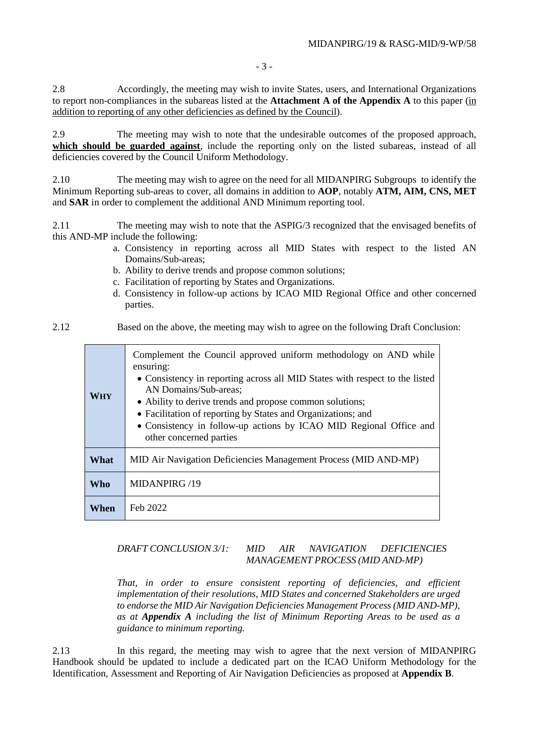2.8 Accordingly, the meeting may wish to invite States, users, and International Organizations to report non-compliances in the subareas listed at the **Attachment A of the Appendix A** to this paper (in addition to reporting of any other deficiencies as defined by the Council).

2.9 The meeting may wish to note that the undesirable outcomes of the proposed approach, **which should be guarded against**, include the reporting only on the listed subareas, instead of all deficiencies covered by the Council Uniform Methodology.

2.10 The meeting may wish to agree on the need for all MIDANPIRG Subgroups to identify the Minimum Reporting sub-areas to cover, all domains in addition to **AOP**, notably **ATM, AIM, CNS, MET**  and **SAR** in order to complement the additional AND Minimum reporting tool.

2.11 The meeting may wish to note that the ASPIG/3 recognized that the envisaged benefits of this AND-MP include the following:

- a. Consistency in reporting across all MID States with respect to the listed AN Domains/Sub-areas;
- b. Ability to derive trends and propose common solutions;
- c. Facilitation of reporting by States and Organizations.
- d. Consistency in follow-up actions by ICAO MID Regional Office and other concerned parties.

2.12 Based on the above, the meeting may wish to agree on the following Draft Conclusion:

| <b>WHY</b> | Complement the Council approved uniform methodology on AND while<br>ensuring:<br>• Consistency in reporting across all MID States with respect to the listed<br>AN Domains/Sub-areas:<br>• Ability to derive trends and propose common solutions;<br>• Facilitation of reporting by States and Organizations; and<br>• Consistency in follow-up actions by ICAO MID Regional Office and<br>other concerned parties |
|------------|--------------------------------------------------------------------------------------------------------------------------------------------------------------------------------------------------------------------------------------------------------------------------------------------------------------------------------------------------------------------------------------------------------------------|
| What       | MID Air Navigation Deficiencies Management Process (MID AND-MP)                                                                                                                                                                                                                                                                                                                                                    |
| Who        | MIDANPIRG /19                                                                                                                                                                                                                                                                                                                                                                                                      |
| When       | Feb 2022                                                                                                                                                                                                                                                                                                                                                                                                           |

## *DRAFT CONCLUSION 3/1: MID AIR NAVIGATION DEFICIENCIES MANAGEMENT PROCESS (MID AND-MP)*

*That, in order to ensure consistent reporting of deficiencies, and efficient implementation of their resolutions, MID States and concerned Stakeholders are urged to endorse the MID Air Navigation Deficiencies Management Process (MID AND-MP), as at Appendix A including the list of Minimum Reporting Areas to be used as a guidance to minimum reporting.*

2.13 In this regard, the meeting may wish to agree that the next version of MIDANPIRG Handbook should be updated to include a dedicated part on the ICAO Uniform Methodology for the Identification, Assessment and Reporting of Air Navigation Deficiencies as proposed at **Appendix B**.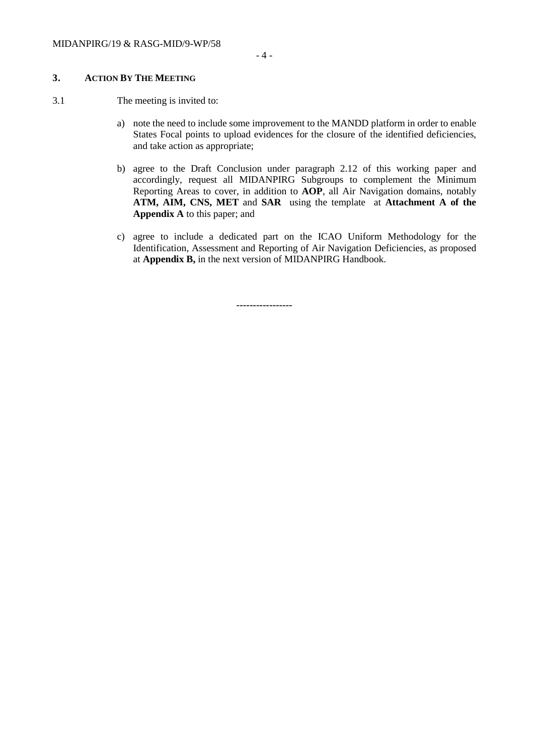### **3. ACTION BY THE MEETING**

- 3.1 The meeting is invited to:
	- a) note the need to include some improvement to the MANDD platform in order to enable States Focal points to upload evidences for the closure of the identified deficiencies, and take action as appropriate;
	- b) agree to the Draft Conclusion under paragraph 2.12 of this working paper and accordingly, request all MIDANPIRG Subgroups to complement the Minimum Reporting Areas to cover, in addition to **AOP**, all Air Navigation domains, notably **ATM, AIM, CNS, MET** and **SAR** using the template at **Attachment A of the Appendix A** to this paper; and
	- c) agree to include a dedicated part on the ICAO Uniform Methodology for the Identification, Assessment and Reporting of Air Navigation Deficiencies, as proposed at **Appendix B,** in the next version of MIDANPIRG Handbook.

**-----------------**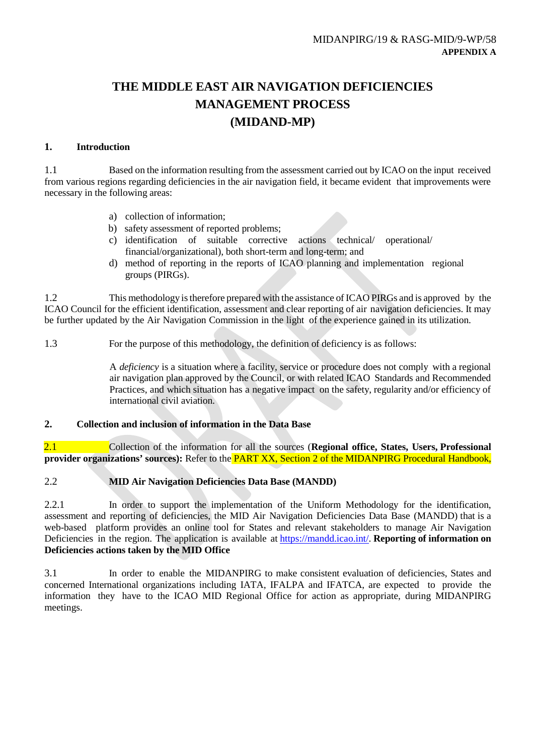# **THE MIDDLE EAST AIR NAVIGATION DEFICIENCIES MANAGEMENT PROCESS (MIDAND-MP)**

## **1. Introduction**

1.1 Based on the information resulting from the assessment carried out by ICAO on the input received from various regions regarding deficiencies in the air navigation field, it became evident that improvements were necessary in the following areas:

- a) collection of information;
- b) safety assessment of reported problems;
- c) identification of suitable corrective actions technical/ operational/ financial/organizational), both short-term and long-term; and
- d) method of reporting in the reports of ICAO planning and implementation regional groups (PIRGs).

1.2 This methodology istherefore prepared with the assistance of ICAO PIRGs and is approved by the ICAO Council for the efficient identification, assessment and clear reporting of air navigation deficiencies. It may be further updated by the Air Navigation Commission in the light of the experience gained in its utilization.

1.3 For the purpose of this methodology, the definition of deficiency is as follows:

A *deficiency* is a situation where a facility, service or procedure does not comply with a regional air navigation plan approved by the Council, or with related ICAO Standards and Recommended Practices, and which situation has a negative impact on the safety, regularity and/or efficiency of international civil aviation.

## **2. Collection and inclusion of information in the Data Base**

2.1 Collection of the information for all the sources (**Regional office, States, Users, Professional provider organizations' sources):** Refer to the **PART XX**, Section 2 of the MIDANPIRG Procedural Handbook,

## 2.2 **MID Air Navigation Deficiencies Data Base (MANDD)**

2.2.1 In order to support the implementation of the Uniform Methodology for the identification, assessment and reporting of deficiencies, the MID Air Navigation Deficiencies Data Base (MANDD) that is a web-based platform provides an online tool for States and relevant stakeholders to manage Air Navigation Deficiencies in the region. The application is available at [https://mandd.icao.int/.](https://mandd.icao.int/) **Reporting of information on Deficiencies actions taken by the MID Office**

3.1 In order to enable the MIDANPIRG to make consistent evaluation of deficiencies, States and concerned International organizations including IATA, IFALPA and IFATCA, are expected to provide the information they have to the ICAO MID Regional Office for action as appropriate, during MIDANPIRG meetings.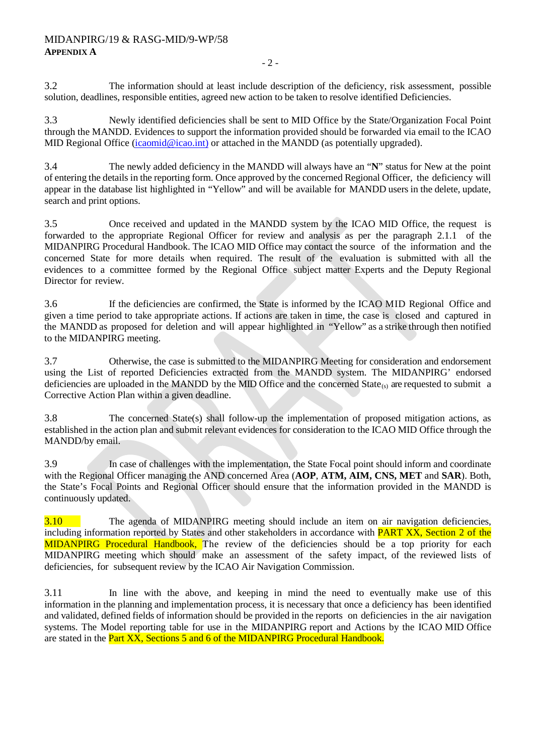3.2 The information should at least include description of the deficiency, risk assessment, possible solution, deadlines, responsible entities, agreed new action to be taken to resolve identified Deficiencies.

3.3 Newly identified deficiencies shall be sent to MID Office by the State/Organization Focal Point through the MANDD. Evidences to support the information provided should be forwarded via email to the ICAO MID Regional Office [\(icaomid@icao.int\)](mailto:icaomid@icao.int) or attached in the MANDD (as potentially upgraded).

3.4 The newly added deficiency in the MANDD will always have an "**N**" status for New at the point of entering the details in the reporting form. Once approved by the concerned Regional Officer, the deficiency will appear in the database list highlighted in "Yellow" and will be available for MANDD users in the delete, update, search and print options.

3.5 Once received and updated in the MANDD system by the ICAO MID Office, the request is forwarded to the appropriate Regional Officer for review and analysis as per the paragraph 2.1.1 of the MIDANPIRG Procedural Handbook. The ICAO MID Office may contact the source of the information and the concerned State for more details when required. The result of the evaluation is submitted with all the evidences to a committee formed by the Regional Office subject matter Experts and the Deputy Regional Director for review.

3.6 If the deficiencies are confirmed, the State is informed by the ICAO MID Regional Office and given a time period to take appropriate actions. If actions are taken in time, the case is closed and captured in the MANDD as proposed for deletion and will appear highlighted in "Yellow" as a strike through then notified to the MIDANPIRG meeting.

3.7 Otherwise, the case is submitted to the MIDANPIRG Meeting for consideration and endorsement using the List of reported Deficiencies extracted from the MANDD system. The MIDANPIRG' endorsed deficiencies are uploaded in the MANDD by the MID Office and the concerned  $State_{(s)}$  are requested to submit a Corrective Action Plan within a given deadline.

3.8 The concerned State(s) shall follow-up the implementation of proposed mitigation actions, as established in the action plan and submit relevant evidences for consideration to the ICAO MID Office through the MANDD/by email.

3.9 In case of challenges with the implementation, the State Focal point should inform and coordinate with the Regional Officer managing the AND concerned Area (**AOP**, **ATM, AIM, CNS, MET** and **SAR**). Both, the State's Focal Points and Regional Officer should ensure that the information provided in the MANDD is continuously updated.

3.10 The agenda of MIDANPIRG meeting should include an item on air navigation deficiencies, including information reported by States and other stakeholders in accordance with **PART XX**, Section 2 of the MIDANPIRG Procedural Handbook, The review of the deficiencies should be a top priority for each MIDANPIRG meeting which should make an assessment of the safety impact, of the reviewed lists of deficiencies, for subsequent review by the ICAO Air Navigation Commission.

3.11 In line with the above, and keeping in mind the need to eventually make use of this information in the planning and implementation process, it is necessary that once a deficiency has been identified and validated, defined fields of information should be provided in the reports on deficiencies in the air navigation systems. The Model reporting table for use in the MIDANPIRG report and Actions by the ICAO MID Office are stated in the **Part XX**, Sections 5 and 6 of the MIDANPIRG Procedural Handbook.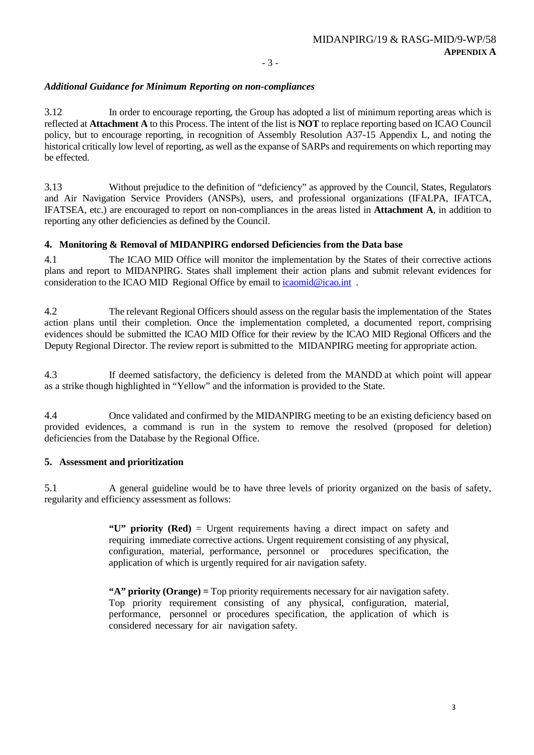## *Additional Guidance for Minimum Reporting on non-compliances*

3.12 In order to encourage reporting, the Group has adopted a list of minimum reporting areas which is reflected at **Attachment A** to this Process. The intent of the list is **NOT** to replace reporting based on ICAO Council policy, but to encourage reporting, in recognition of Assembly Resolution A37-15 Appendix L, and noting the historical critically low level of reporting, as well as the expanse of SARPs and requirements on which reporting may be effected.

3.13 Without prejudice to the definition of "deficiency" as approved by the Council, States, Regulators and Air Navigation Service Providers (ANSPs), users, and professional organizations (IFALPA, IFATCA, IFATSEA, etc.) are encouraged to report on non-compliances in the areas listed in **Attachment A**, in addition to reporting any other deficiencies as defined by the Council.

## **4. Monitoring & Removal of MIDANPIRG endorsed Deficiencies from the Data base**

4.1 The ICAO MID Office will monitor the implementation by the States of their corrective actions plans and report to MIDANPIRG. States shall implement their action plans and submit relevant evidences for consideration to the ICAO MID Regional Office by email to icaomid@icao.int.

4.2 The relevant Regional Officers should assess on the regular basis the implementation of the States action plans until their completion. Once the implementation completed, a documented report, comprising evidences should be submitted the ICAO MID Office for their review by the ICAO MID Regional Officers and the Deputy Regional Director. The review report is submitted to the MIDANPIRG meeting for appropriate action.

4.3 If deemed satisfactory, the deficiency is deleted from the MANDD at which point will appear as a strike though highlighted in "Yellow" and the information is provided to the State.

4.4 Once validated and confirmed by the MIDANPIRG meeting to be an existing deficiency based on provided evidences, a command is run in the system to remove the resolved (proposed for deletion) deficiencies from the Database by the Regional Office.

## **5. Assessment and prioritization**

5.1 A general guideline would be to have three levels of priority organized on the basis of safety, regularity and efficiency assessment as follows:

> **"U" priority (Red)** = Urgent requirements having a direct impact on safety and requiring immediate corrective actions. Urgent requirement consisting of any physical, configuration, material, performance, personnel or procedures specification, the application of which is urgently required for air navigation safety.

> **"A" priority (Orange) =** Top priority requirements necessary for air navigation safety. Top priority requirement consisting of any physical, configuration, material, performance, personnel or procedures specification, the application of which is considered necessary for air navigation safety.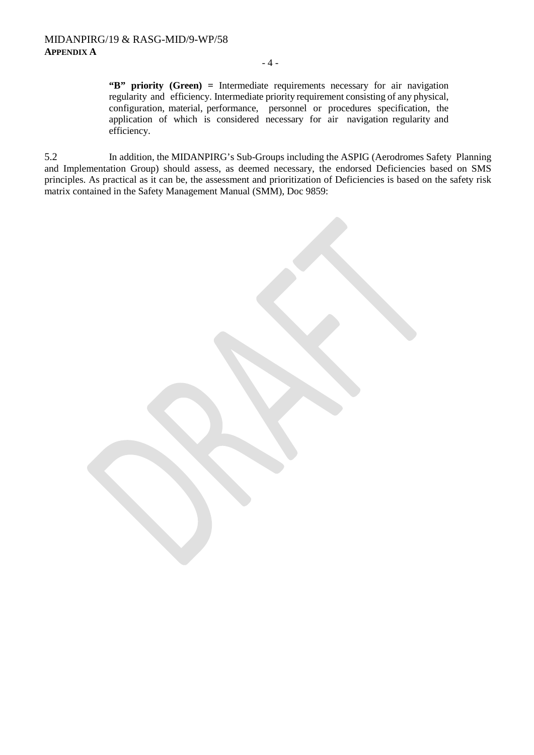#### - 4 -

**"B" priority (Green) =** Intermediate requirements necessary for air navigation regularity and efficiency. Intermediate priority requirement consisting of any physical, configuration, material, performance, personnel or procedures specification, the application of which is considered necessary for air navigation regularity and efficiency.

5.2 In addition, the MIDANPIRG's Sub-Groups including the ASPIG (Aerodromes Safety Planning and Implementation Group) should assess, as deemed necessary, the endorsed Deficiencies based on SMS principles. As practical as it can be, the assessment and prioritization of Deficiencies is based on the safety risk matrix contained in the Safety Management Manual (SMM), Doc 9859: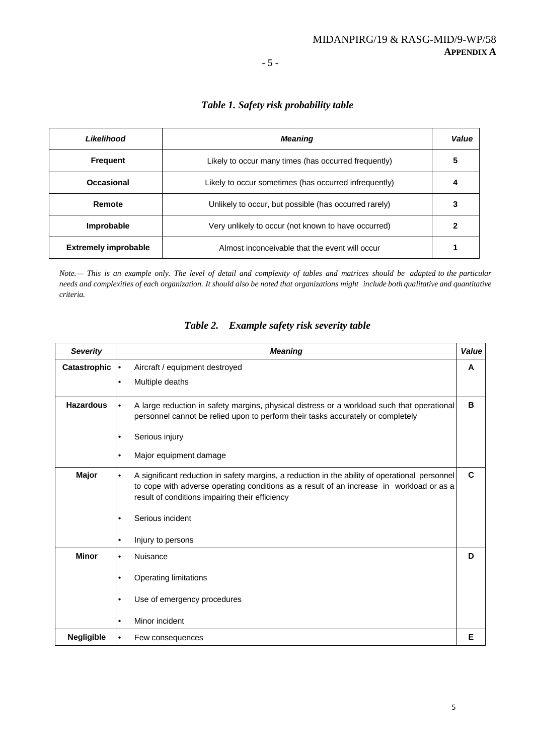#### - 5 -

## *Table 1. Safety risk probability table*

| Likelihood                  | <b>Meaning</b>                                        | Value |
|-----------------------------|-------------------------------------------------------|-------|
| <b>Frequent</b>             | Likely to occur many times (has occurred frequently)  | 5     |
| Occasional                  | Likely to occur sometimes (has occurred infrequently) | 4     |
| Remote                      | Unlikely to occur, but possible (has occurred rarely) | 3     |
| Improbable                  | Very unlikely to occur (not known to have occurred)   |       |
| <b>Extremely improbable</b> | Almost inconceivable that the event will occur        |       |

Note.- This is an example only. The level of detail and complexity of tables and matrices should be adapted to the particular needs and complexities of each organization. It should also be noted that organizations might include both qualitative and quantitative *criteria.*

| <b>Severity</b>   | <b>Meaning</b>                                                                                                                                                                                                                                             | Value |
|-------------------|------------------------------------------------------------------------------------------------------------------------------------------------------------------------------------------------------------------------------------------------------------|-------|
| Catastrophic      | Aircraft / equipment destroyed<br>$\bullet$                                                                                                                                                                                                                | A     |
|                   | Multiple deaths<br>$\bullet$                                                                                                                                                                                                                               |       |
| <b>Hazardous</b>  | A large reduction in safety margins, physical distress or a workload such that operational<br>personnel cannot be relied upon to perform their tasks accurately or completely                                                                              | в     |
|                   | Serious injury<br>٠                                                                                                                                                                                                                                        |       |
|                   | Major equipment damage<br>٠                                                                                                                                                                                                                                |       |
| Major             | A significant reduction in safety margins, a reduction in the ability of operational personnel<br>$\bullet$<br>to cope with adverse operating conditions as a result of an increase in workload or as a<br>result of conditions impairing their efficiency | C     |
|                   | Serious incident                                                                                                                                                                                                                                           |       |
|                   | Injury to persons<br>٠                                                                                                                                                                                                                                     |       |
| <b>Minor</b>      | Nuisance<br>$\bullet$                                                                                                                                                                                                                                      | D     |
|                   | Operating limitations<br>٠                                                                                                                                                                                                                                 |       |
|                   | Use of emergency procedures<br>٠                                                                                                                                                                                                                           |       |
|                   | Minor incident<br>$\bullet$                                                                                                                                                                                                                                |       |
| <b>Negligible</b> | Few consequences<br>$\bullet$                                                                                                                                                                                                                              | Е     |

## *Table 2. Example safety risk severity table*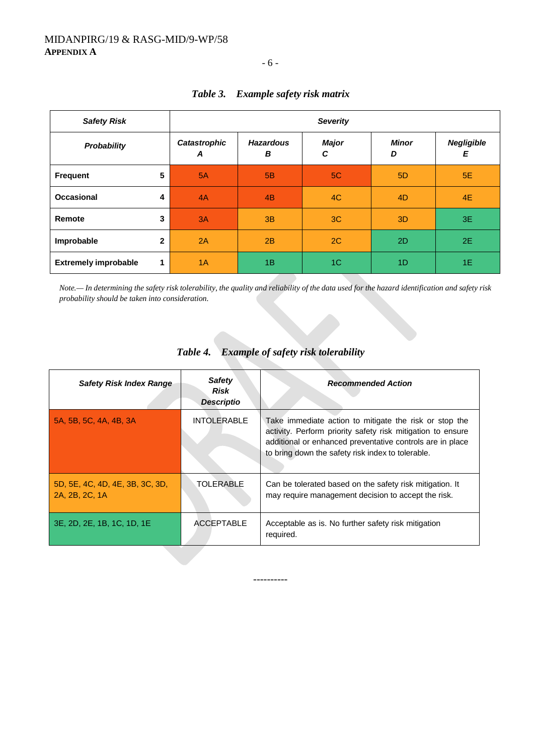*Safety Risk Severity Probability Catastrophic A Hazardous B Major C Minor D Negligible E* **Frequent 5** 5A 5B 5C 5D 5E **Occasional 4** 4A 4B 4C 4D 4E **Remote 3** 3A | 3B | 3C | 3D | 3E **Improbable 2** 2A 2B 2C 2D 2E **Extremely improbable 1** 1A 1B 1B 1C 1D 1D 1E

## *Table 3. Example safety risk matrix*

- 6 -

*Note.— In determining the safety risk tolerability, the quality and reliability of the data used for the hazard identification and safety risk probability should be taken into consideration.*

| <b>Safety Risk Index Range</b>                    | <b>Safety</b><br>Risk<br><b>Descriptio</b> | <b>Recommended Action</b>                                                                                                                                                                                                               |
|---------------------------------------------------|--------------------------------------------|-----------------------------------------------------------------------------------------------------------------------------------------------------------------------------------------------------------------------------------------|
| 5A, 5B, 5C, 4A, 4B, 3A                            | <b>INTOLERABLE</b>                         | Take immediate action to mitigate the risk or stop the<br>activity. Perform priority safety risk mitigation to ensure<br>additional or enhanced preventative controls are in place<br>to bring down the safety risk index to tolerable. |
| 5D, 5E, 4C, 4D, 4E, 3B, 3C, 3D,<br>2A, 2B, 2C, 1A | TOLERABLE                                  | Can be tolerated based on the safety risk mitigation. It<br>may require management decision to accept the risk.                                                                                                                         |
| 3E, 2D, 2E, 1B, 1C, 1D, 1E                        | ACCEPTABLE                                 | Acceptable as is. No further safety risk mitigation<br>required.                                                                                                                                                                        |
|                                                   |                                            |                                                                                                                                                                                                                                         |

## *Table 4. Example of safety risk tolerability*

*----------*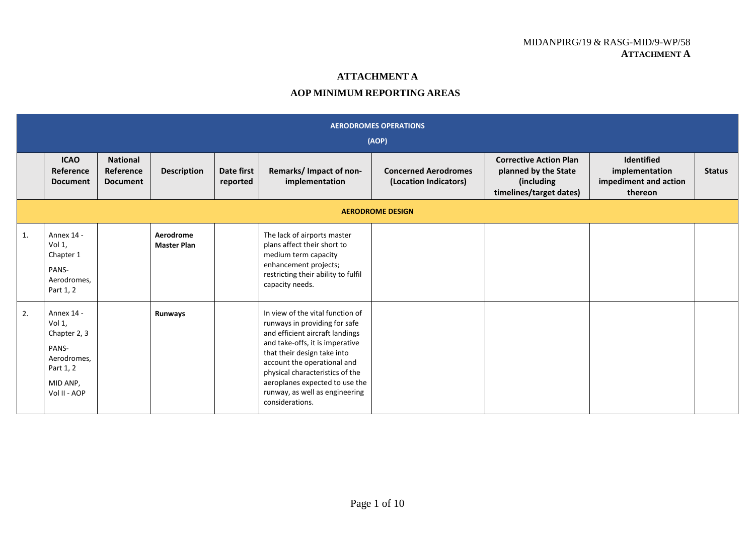## MIDANPIRG/19 & RASG-MID/9-WP/58 **ATTACHMENT A**

## **ATTACHMENT A**

## **AOP MINIMUM REPORTING AREAS**

|    | <b>AERODROMES OPERATIONS</b><br>(AOP)                                                                 |                                                 |                                 |                        |                                                                                                                                                                                                                                                                                                                                 |                                                      |                                                                                                |                                                                  |               |  |  |  |  |
|----|-------------------------------------------------------------------------------------------------------|-------------------------------------------------|---------------------------------|------------------------|---------------------------------------------------------------------------------------------------------------------------------------------------------------------------------------------------------------------------------------------------------------------------------------------------------------------------------|------------------------------------------------------|------------------------------------------------------------------------------------------------|------------------------------------------------------------------|---------------|--|--|--|--|
|    | <b>ICAO</b><br>Reference<br><b>Document</b>                                                           | <b>National</b><br>Reference<br><b>Document</b> | <b>Description</b>              | Date first<br>reported | Remarks/ Impact of non-<br>implementation                                                                                                                                                                                                                                                                                       | <b>Concerned Aerodromes</b><br>(Location Indicators) | <b>Corrective Action Plan</b><br>planned by the State<br>(including<br>timelines/target dates) | Identified<br>implementation<br>impediment and action<br>thereon | <b>Status</b> |  |  |  |  |
|    | <b>AERODROME DESIGN</b>                                                                               |                                                 |                                 |                        |                                                                                                                                                                                                                                                                                                                                 |                                                      |                                                                                                |                                                                  |               |  |  |  |  |
| 1. | Annex 14 -<br>Vol 1,<br>Chapter 1<br>PANS-<br>Aerodromes,<br>Part 1, 2                                |                                                 | Aerodrome<br><b>Master Plan</b> |                        | The lack of airports master<br>plans affect their short to<br>medium term capacity<br>enhancement projects;<br>restricting their ability to fulfil<br>capacity needs.                                                                                                                                                           |                                                      |                                                                                                |                                                                  |               |  |  |  |  |
| 2. | Annex 14 -<br>Vol 1,<br>Chapter 2, 3<br>PANS-<br>Aerodromes,<br>Part 1, 2<br>MID ANP,<br>Vol II - AOP |                                                 | Runways                         |                        | In view of the vital function of<br>runways in providing for safe<br>and efficient aircraft landings<br>and take-offs, it is imperative<br>that their design take into<br>account the operational and<br>physical characteristics of the<br>aeroplanes expected to use the<br>runway, as well as engineering<br>considerations. |                                                      |                                                                                                |                                                                  |               |  |  |  |  |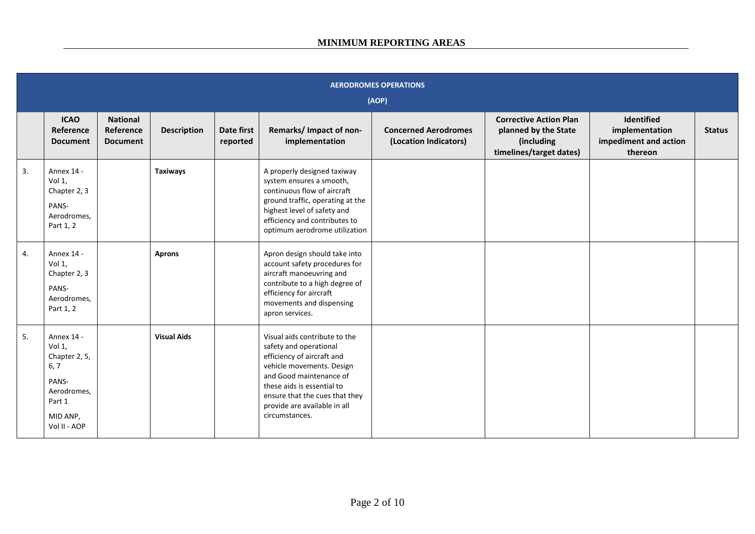|    | <b>AERODROMES OPERATIONS</b><br>(AOP)                                                                       |                                                 |                    |                        |                                                                                                                                                                                                                                                                 |                                                      |                                                                                                |                                                                  |               |  |  |  |
|----|-------------------------------------------------------------------------------------------------------------|-------------------------------------------------|--------------------|------------------------|-----------------------------------------------------------------------------------------------------------------------------------------------------------------------------------------------------------------------------------------------------------------|------------------------------------------------------|------------------------------------------------------------------------------------------------|------------------------------------------------------------------|---------------|--|--|--|
|    | <b>ICAO</b><br>Reference<br><b>Document</b>                                                                 | <b>National</b><br>Reference<br><b>Document</b> | <b>Description</b> | Date first<br>reported | Remarks/ Impact of non-<br>implementation                                                                                                                                                                                                                       | <b>Concerned Aerodromes</b><br>(Location Indicators) | <b>Corrective Action Plan</b><br>planned by the State<br>(including<br>timelines/target dates) | Identified<br>implementation<br>impediment and action<br>thereon | <b>Status</b> |  |  |  |
| 3. | Annex 14 -<br>Vol 1,<br>Chapter 2, 3<br>PANS-<br>Aerodromes,<br>Part 1, 2                                   |                                                 | <b>Taxiways</b>    |                        | A properly designed taxiway<br>system ensures a smooth,<br>continuous flow of aircraft<br>ground traffic, operating at the<br>highest level of safety and<br>efficiency and contributes to<br>optimum aerodrome utilization                                     |                                                      |                                                                                                |                                                                  |               |  |  |  |
| 4. | Annex 14 -<br>Vol 1,<br>Chapter 2, 3<br>PANS-<br>Aerodromes,<br>Part 1, 2                                   |                                                 | <b>Aprons</b>      |                        | Apron design should take into<br>account safety procedures for<br>aircraft manoeuvring and<br>contribute to a high degree of<br>efficiency for aircraft<br>movements and dispensing<br>apron services.                                                          |                                                      |                                                                                                |                                                                  |               |  |  |  |
| 5. | Annex 14 -<br>Vol 1,<br>Chapter 2, 5,<br>6, 7<br>PANS-<br>Aerodromes,<br>Part 1<br>MID ANP,<br>Vol II - AOP |                                                 | <b>Visual Aids</b> |                        | Visual aids contribute to the<br>safety and operational<br>efficiency of aircraft and<br>vehicle movements. Design<br>and Good maintenance of<br>these aids is essential to<br>ensure that the cues that they<br>provide are available in all<br>circumstances. |                                                      |                                                                                                |                                                                  |               |  |  |  |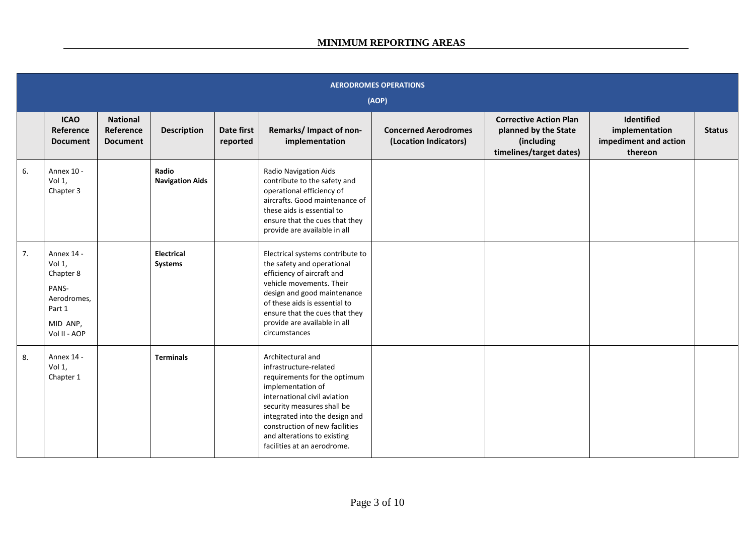|    | <b>AERODROMES OPERATIONS</b><br>(AOP)                                                           |                                                 |                                 |                        |                                                                                                                                                                                                                                                                                                  |                                                      |                                                                                                |                                                                  |               |  |  |  |
|----|-------------------------------------------------------------------------------------------------|-------------------------------------------------|---------------------------------|------------------------|--------------------------------------------------------------------------------------------------------------------------------------------------------------------------------------------------------------------------------------------------------------------------------------------------|------------------------------------------------------|------------------------------------------------------------------------------------------------|------------------------------------------------------------------|---------------|--|--|--|
|    | <b>ICAO</b><br>Reference<br><b>Document</b>                                                     | <b>National</b><br>Reference<br><b>Document</b> | <b>Description</b>              | Date first<br>reported | Remarks/Impact of non-<br>implementation                                                                                                                                                                                                                                                         | <b>Concerned Aerodromes</b><br>(Location Indicators) | <b>Corrective Action Plan</b><br>planned by the State<br>(including<br>timelines/target dates) | Identified<br>implementation<br>impediment and action<br>thereon | <b>Status</b> |  |  |  |
| 6. | Annex 10 -<br>Vol 1,<br>Chapter 3                                                               |                                                 | Radio<br><b>Navigation Aids</b> |                        | Radio Navigation Aids<br>contribute to the safety and<br>operational efficiency of<br>aircrafts. Good maintenance of<br>these aids is essential to<br>ensure that the cues that they<br>provide are available in all                                                                             |                                                      |                                                                                                |                                                                  |               |  |  |  |
| 7. | Annex 14 -<br>Vol 1,<br>Chapter 8<br>PANS-<br>Aerodromes,<br>Part 1<br>MID ANP,<br>Vol II - AOP |                                                 | Electrical<br>Systems           |                        | Electrical systems contribute to<br>the safety and operational<br>efficiency of aircraft and<br>vehicle movements. Their<br>design and good maintenance<br>of these aids is essential to<br>ensure that the cues that they<br>provide are available in all<br>circumstances                      |                                                      |                                                                                                |                                                                  |               |  |  |  |
| 8. | Annex 14 -<br>Vol $1$ ,<br>Chapter 1                                                            |                                                 | <b>Terminals</b>                |                        | Architectural and<br>infrastructure-related<br>requirements for the optimum<br>implementation of<br>international civil aviation<br>security measures shall be<br>integrated into the design and<br>construction of new facilities<br>and alterations to existing<br>facilities at an aerodrome. |                                                      |                                                                                                |                                                                  |               |  |  |  |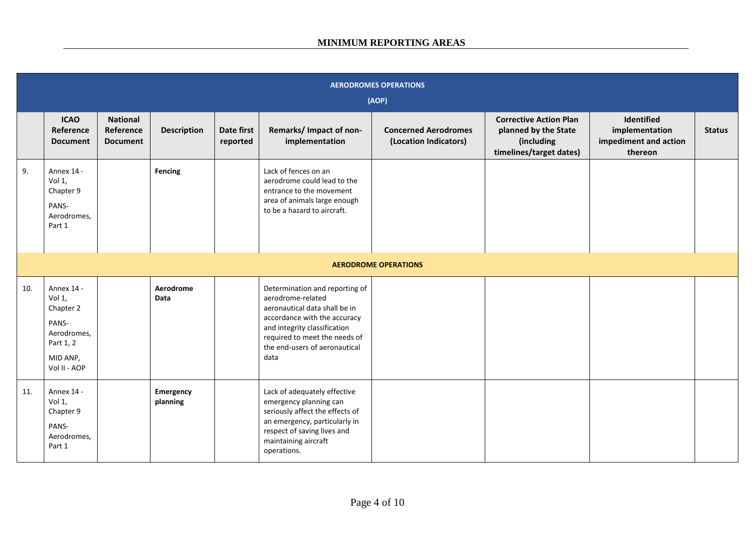|     | <b>AERODROMES OPERATIONS</b><br>(AOP)                                                              |                                                 |                          |                        |                                                                                                                                                                                                                                |                                                      |                                                                                                |                                                                  |               |  |  |  |
|-----|----------------------------------------------------------------------------------------------------|-------------------------------------------------|--------------------------|------------------------|--------------------------------------------------------------------------------------------------------------------------------------------------------------------------------------------------------------------------------|------------------------------------------------------|------------------------------------------------------------------------------------------------|------------------------------------------------------------------|---------------|--|--|--|
|     | <b>ICAO</b><br>Reference<br><b>Document</b>                                                        | <b>National</b><br>Reference<br><b>Document</b> | <b>Description</b>       | Date first<br>reported | Remarks/ Impact of non-<br>implementation                                                                                                                                                                                      | <b>Concerned Aerodromes</b><br>(Location Indicators) | <b>Corrective Action Plan</b><br>planned by the State<br>(including<br>timelines/target dates) | Identified<br>implementation<br>impediment and action<br>thereon | <b>Status</b> |  |  |  |
| 9.  | Annex 14 -<br>Vol 1,<br>Chapter 9<br>PANS-<br>Aerodromes,<br>Part 1                                |                                                 | Fencing                  |                        | Lack of fences on an<br>aerodrome could lead to the<br>entrance to the movement<br>area of animals large enough<br>to be a hazard to aircraft.                                                                                 |                                                      |                                                                                                |                                                                  |               |  |  |  |
|     |                                                                                                    |                                                 |                          |                        |                                                                                                                                                                                                                                | <b>AERODROME OPERATIONS</b>                          |                                                                                                |                                                                  |               |  |  |  |
| 10. | Annex 14 -<br>Vol 1,<br>Chapter 2<br>PANS-<br>Aerodromes,<br>Part 1, 2<br>MID ANP,<br>Vol II - AOP |                                                 | Aerodrome<br><b>Data</b> |                        | Determination and reporting of<br>aerodrome-related<br>aeronautical data shall be in<br>accordance with the accuracy<br>and integrity classification<br>required to meet the needs of<br>the end-users of aeronautical<br>data |                                                      |                                                                                                |                                                                  |               |  |  |  |
| 11. | Annex 14 -<br>Vol 1,<br>Chapter 9<br>PANS-<br>Aerodromes,<br>Part 1                                |                                                 | Emergency<br>planning    |                        | Lack of adequately effective<br>emergency planning can<br>seriously affect the effects of<br>an emergency, particularly in<br>respect of saving lives and<br>maintaining aircraft<br>operations.                               |                                                      |                                                                                                |                                                                  |               |  |  |  |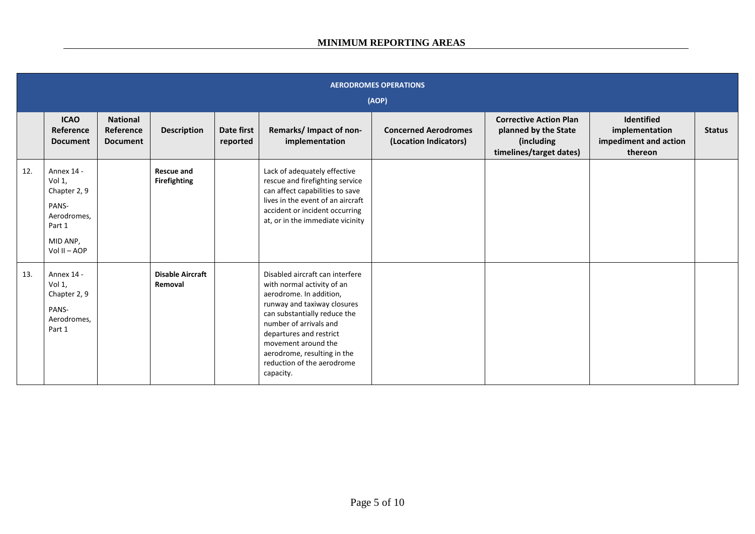## **MINIMUM REPORTING AREAS**

|     | <b>AERODROMES OPERATIONS</b><br>(AOP)                                                              |                                                 |                                          |                        |                                                                                                                                                                                                                                                                                                               |                                                      |                                                                                                |                                                                  |               |  |  |  |  |
|-----|----------------------------------------------------------------------------------------------------|-------------------------------------------------|------------------------------------------|------------------------|---------------------------------------------------------------------------------------------------------------------------------------------------------------------------------------------------------------------------------------------------------------------------------------------------------------|------------------------------------------------------|------------------------------------------------------------------------------------------------|------------------------------------------------------------------|---------------|--|--|--|--|
|     | <b>ICAO</b><br>Reference<br><b>Document</b>                                                        | <b>National</b><br>Reference<br><b>Document</b> | <b>Description</b>                       | Date first<br>reported | Remarks/ Impact of non-<br>implementation                                                                                                                                                                                                                                                                     | <b>Concerned Aerodromes</b><br>(Location Indicators) | <b>Corrective Action Plan</b><br>planned by the State<br>(including<br>timelines/target dates) | Identified<br>implementation<br>impediment and action<br>thereon | <b>Status</b> |  |  |  |  |
| 12. | Annex 14 -<br>Vol 1,<br>Chapter 2, 9<br>PANS-<br>Aerodromes.<br>Part 1<br>MID ANP,<br>Vol II - AOP |                                                 | <b>Rescue and</b><br><b>Firefighting</b> |                        | Lack of adequately effective<br>rescue and firefighting service<br>can affect capabilities to save<br>lives in the event of an aircraft<br>accident or incident occurring<br>at, or in the immediate vicinity                                                                                                 |                                                      |                                                                                                |                                                                  |               |  |  |  |  |
| 13. | Annex 14 -<br>Vol 1,<br>Chapter 2, 9<br>PANS-<br>Aerodromes,<br>Part 1                             |                                                 | <b>Disable Aircraft</b><br>Removal       |                        | Disabled aircraft can interfere<br>with normal activity of an<br>aerodrome. In addition,<br>runway and taxiway closures<br>can substantially reduce the<br>number of arrivals and<br>departures and restrict<br>movement around the<br>aerodrome, resulting in the<br>reduction of the aerodrome<br>capacity. |                                                      |                                                                                                |                                                                  |               |  |  |  |  |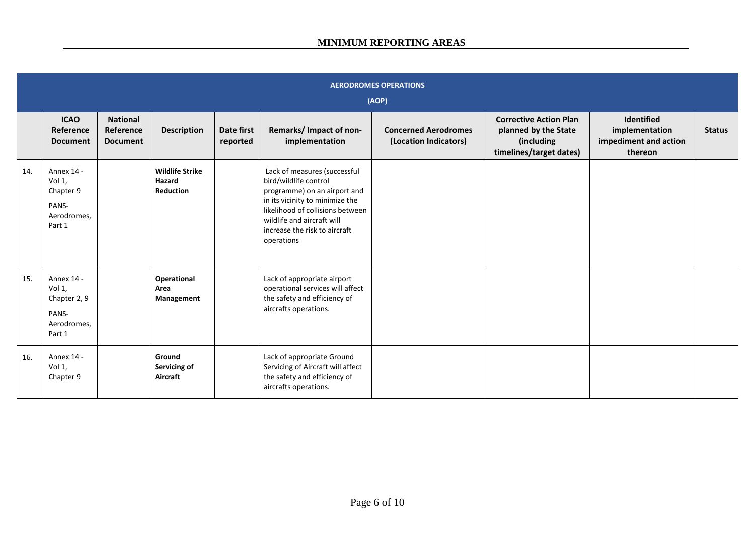|     | <b>AERODROMES OPERATIONS</b><br>(AOP)                                  |                                                 |                                               |                        |                                                                                                                                                                                                                                           |                                                      |                                                                                                |                                                                         |               |  |  |  |  |
|-----|------------------------------------------------------------------------|-------------------------------------------------|-----------------------------------------------|------------------------|-------------------------------------------------------------------------------------------------------------------------------------------------------------------------------------------------------------------------------------------|------------------------------------------------------|------------------------------------------------------------------------------------------------|-------------------------------------------------------------------------|---------------|--|--|--|--|
|     | <b>ICAO</b><br>Reference<br><b>Document</b>                            | <b>National</b><br>Reference<br><b>Document</b> | <b>Description</b>                            | Date first<br>reported | Remarks/ Impact of non-<br>implementation                                                                                                                                                                                                 | <b>Concerned Aerodromes</b><br>(Location Indicators) | <b>Corrective Action Plan</b><br>planned by the State<br>(including<br>timelines/target dates) | <b>Identified</b><br>implementation<br>impediment and action<br>thereon | <b>Status</b> |  |  |  |  |
| 14. | Annex 14 -<br>Vol 1,<br>Chapter 9<br>PANS-<br>Aerodromes,<br>Part 1    |                                                 | <b>Wildlife Strike</b><br>Hazard<br>Reduction |                        | Lack of measures (successful<br>bird/wildlife control<br>programme) on an airport and<br>in its vicinity to minimize the<br>likelihood of collisions between<br>wildlife and aircraft will<br>increase the risk to aircraft<br>operations |                                                      |                                                                                                |                                                                         |               |  |  |  |  |
| 15. | Annex 14 -<br>Vol 1,<br>Chapter 2, 9<br>PANS-<br>Aerodromes,<br>Part 1 |                                                 | Operational<br>Area<br>Management             |                        | Lack of appropriate airport<br>operational services will affect<br>the safety and efficiency of<br>aircrafts operations.                                                                                                                  |                                                      |                                                                                                |                                                                         |               |  |  |  |  |
| 16. | Annex 14 -<br>Vol 1,<br>Chapter 9                                      |                                                 | Ground<br>Servicing of<br>Aircraft            |                        | Lack of appropriate Ground<br>Servicing of Aircraft will affect<br>the safety and efficiency of<br>aircrafts operations.                                                                                                                  |                                                      |                                                                                                |                                                                         |               |  |  |  |  |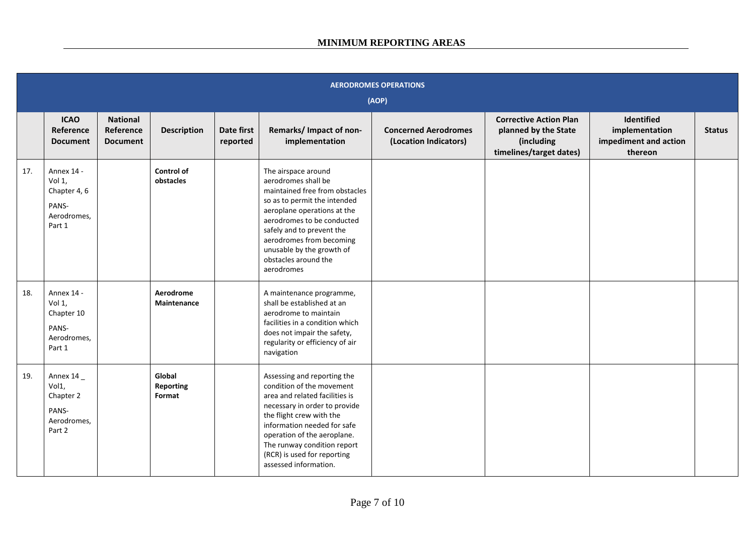|     | <b>AERODROMES OPERATIONS</b><br>(AOP)                                  |                                                 |                                      |                        |                                                                                                                                                                                                                                                                                                              |                                                      |                                                                                                |                                                                  |               |  |  |  |
|-----|------------------------------------------------------------------------|-------------------------------------------------|--------------------------------------|------------------------|--------------------------------------------------------------------------------------------------------------------------------------------------------------------------------------------------------------------------------------------------------------------------------------------------------------|------------------------------------------------------|------------------------------------------------------------------------------------------------|------------------------------------------------------------------|---------------|--|--|--|
|     | <b>ICAO</b><br>Reference<br><b>Document</b>                            | <b>National</b><br>Reference<br><b>Document</b> | <b>Description</b>                   | Date first<br>reported | Remarks/ Impact of non-<br>implementation                                                                                                                                                                                                                                                                    | <b>Concerned Aerodromes</b><br>(Location Indicators) | <b>Corrective Action Plan</b><br>planned by the State<br>(including<br>timelines/target dates) | Identified<br>implementation<br>impediment and action<br>thereon | <b>Status</b> |  |  |  |
| 17. | Annex 14 -<br>Vol 1,<br>Chapter 4, 6<br>PANS-<br>Aerodromes,<br>Part 1 |                                                 | Control of<br>obstacles              |                        | The airspace around<br>aerodromes shall be<br>maintained free from obstacles<br>so as to permit the intended<br>aeroplane operations at the<br>aerodromes to be conducted<br>safely and to prevent the<br>aerodromes from becoming<br>unusable by the growth of<br>obstacles around the<br>aerodromes        |                                                      |                                                                                                |                                                                  |               |  |  |  |
| 18. | Annex 14 -<br>Vol 1,<br>Chapter 10<br>PANS-<br>Aerodromes,<br>Part 1   |                                                 | Aerodrome<br>Maintenance             |                        | A maintenance programme,<br>shall be established at an<br>aerodrome to maintain<br>facilities in a condition which<br>does not impair the safety,<br>regularity or efficiency of air<br>navigation                                                                                                           |                                                      |                                                                                                |                                                                  |               |  |  |  |
| 19. | Annex 14<br>Vol1,<br>Chapter 2<br>PANS-<br>Aerodromes,<br>Part 2       |                                                 | Global<br><b>Reporting</b><br>Format |                        | Assessing and reporting the<br>condition of the movement<br>area and related facilities is<br>necessary in order to provide<br>the flight crew with the<br>information needed for safe<br>operation of the aeroplane.<br>The runway condition report<br>(RCR) is used for reporting<br>assessed information. |                                                      |                                                                                                |                                                                  |               |  |  |  |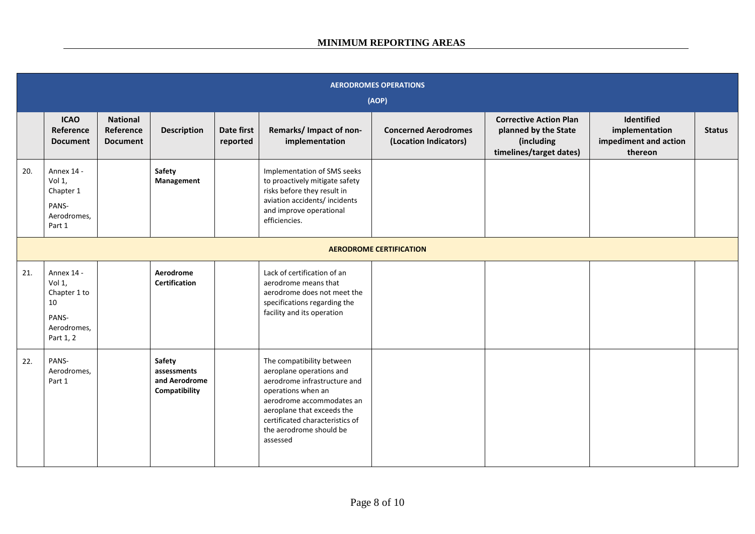|     | <b>AERODROMES OPERATIONS</b><br>(AOP)                                           |                                                 |                                                         |                        |                                                                                                                                                                                                                                                  |                                                      |                                                                                                |                                                                  |               |  |  |  |
|-----|---------------------------------------------------------------------------------|-------------------------------------------------|---------------------------------------------------------|------------------------|--------------------------------------------------------------------------------------------------------------------------------------------------------------------------------------------------------------------------------------------------|------------------------------------------------------|------------------------------------------------------------------------------------------------|------------------------------------------------------------------|---------------|--|--|--|
|     | <b>ICAO</b><br>Reference<br><b>Document</b>                                     | <b>National</b><br>Reference<br><b>Document</b> | <b>Description</b>                                      | Date first<br>reported | Remarks/ Impact of non-<br>implementation                                                                                                                                                                                                        | <b>Concerned Aerodromes</b><br>(Location Indicators) | <b>Corrective Action Plan</b><br>planned by the State<br>(including<br>timelines/target dates) | Identified<br>implementation<br>impediment and action<br>thereon | <b>Status</b> |  |  |  |
| 20. | Annex 14 -<br>Vol 1,<br>Chapter 1<br>PANS-<br>Aerodromes,<br>Part 1             |                                                 | Safety<br>Management                                    |                        | Implementation of SMS seeks<br>to proactively mitigate safety<br>risks before they result in<br>aviation accidents/ incidents<br>and improve operational<br>efficiencies.                                                                        |                                                      |                                                                                                |                                                                  |               |  |  |  |
|     | <b>AERODROME CERTIFICATION</b>                                                  |                                                 |                                                         |                        |                                                                                                                                                                                                                                                  |                                                      |                                                                                                |                                                                  |               |  |  |  |
| 21. | Annex 14 -<br>Vol 1,<br>Chapter 1 to<br>10<br>PANS-<br>Aerodromes,<br>Part 1, 2 |                                                 | Aerodrome<br><b>Certification</b>                       |                        | Lack of certification of an<br>aerodrome means that<br>aerodrome does not meet the<br>specifications regarding the<br>facility and its operation                                                                                                 |                                                      |                                                                                                |                                                                  |               |  |  |  |
| 22. | PANS-<br>Aerodromes,<br>Part 1                                                  |                                                 | Safety<br>assessments<br>and Aerodrome<br>Compatibility |                        | The compatibility between<br>aeroplane operations and<br>aerodrome infrastructure and<br>operations when an<br>aerodrome accommodates an<br>aeroplane that exceeds the<br>certificated characteristics of<br>the aerodrome should be<br>assessed |                                                      |                                                                                                |                                                                  |               |  |  |  |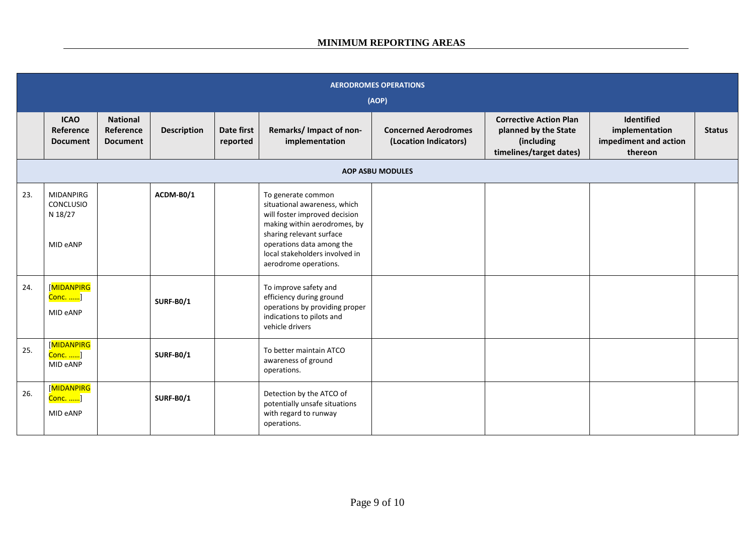| <b>AERODROMES OPERATIONS</b><br>(AOP) |                                                             |                                                 |                    |                        |                                                                                                                                                                                                                                         |                                                      |                                                                                                |                                                                  |               |  |  |
|---------------------------------------|-------------------------------------------------------------|-------------------------------------------------|--------------------|------------------------|-----------------------------------------------------------------------------------------------------------------------------------------------------------------------------------------------------------------------------------------|------------------------------------------------------|------------------------------------------------------------------------------------------------|------------------------------------------------------------------|---------------|--|--|
|                                       | <b>ICAO</b><br>Reference<br><b>Document</b>                 | <b>National</b><br>Reference<br><b>Document</b> | <b>Description</b> | Date first<br>reported | Remarks/ Impact of non-<br>implementation                                                                                                                                                                                               | <b>Concerned Aerodromes</b><br>(Location Indicators) | <b>Corrective Action Plan</b><br>planned by the State<br>(including<br>timelines/target dates) | Identified<br>implementation<br>impediment and action<br>thereon | <b>Status</b> |  |  |
| <b>AOP ASBU MODULES</b>               |                                                             |                                                 |                    |                        |                                                                                                                                                                                                                                         |                                                      |                                                                                                |                                                                  |               |  |  |
| 23.                                   | <b>MIDANPIRG</b><br><b>CONCLUSIO</b><br>N 18/27<br>MID eANP |                                                 | ACDM-B0/1          |                        | To generate common<br>situational awareness, which<br>will foster improved decision<br>making within aerodromes, by<br>sharing relevant surface<br>operations data among the<br>local stakeholders involved in<br>aerodrome operations. |                                                      |                                                                                                |                                                                  |               |  |  |
| 24.                                   | <b>MIDANPIRG</b><br>Conc. ]<br>MID eANP                     |                                                 | <b>SURF-B0/1</b>   |                        | To improve safety and<br>efficiency during ground<br>operations by providing proper<br>indications to pilots and<br>vehicle drivers                                                                                                     |                                                      |                                                                                                |                                                                  |               |  |  |
| 25.                                   | [MIDANPIRG<br><mark>Conc. </mark> ]<br>MID eANP             |                                                 | <b>SURF-B0/1</b>   |                        | To better maintain ATCO<br>awareness of ground<br>operations.                                                                                                                                                                           |                                                      |                                                                                                |                                                                  |               |  |  |
| 26.                                   | [MIDANPIRG<br>Conc. ]<br>MID eANP                           |                                                 | <b>SURF-B0/1</b>   |                        | Detection by the ATCO of<br>potentially unsafe situations<br>with regard to runway<br>operations.                                                                                                                                       |                                                      |                                                                                                |                                                                  |               |  |  |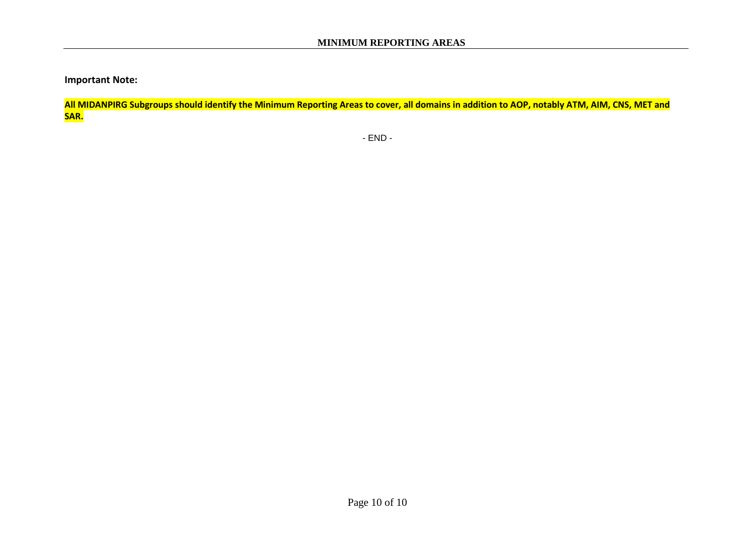**Important Note:**

**All MIDANPIRG Subgroups should identify the Minimum Reporting Areas to cover, all domains in addition to AOP, notably ATM, AIM, CNS, MET and SAR.**

- END -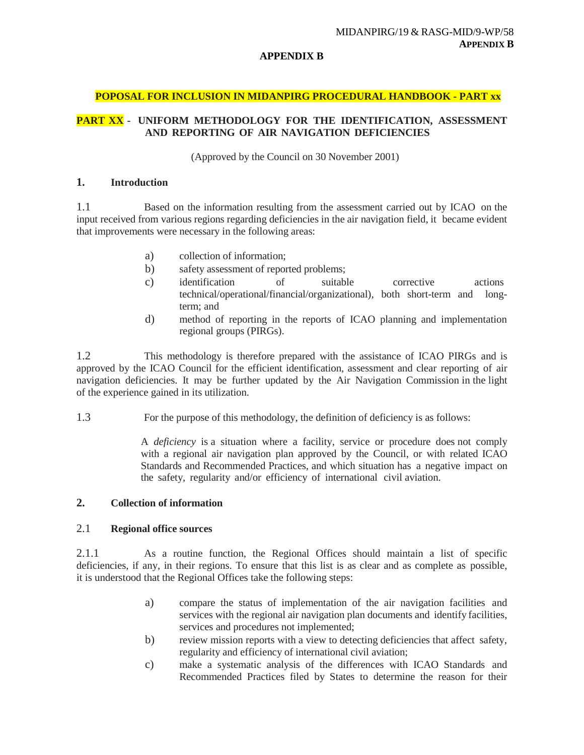#### **APPENDIX B**

### **POPOSAL FOR INCLUSION IN MIDANPIRG PROCEDURAL HANDBOOK - PART xx**

## **PART XX - UNIFORM METHODOLOGY FOR THE IDENTIFICATION, ASSESSMENT AND REPORTING OF AIR NAVIGATION DEFICIENCIES**

(Approved by the Council on 30 November 2001)

#### **1. Introduction**

1.1 Based on the information resulting from the assessment carried out by ICAO on the input received from various regions regarding deficiencies in the air navigation field, it became evident that improvements were necessary in the following areas:

- a) collection of information;
- b) safety assessment of reported problems;
- c) identification of suitable corrective actions technical/operational/financial/organizational), both short-term and longterm; and
- d) method of reporting in the reports of ICAO planning and implementation regional groups (PIRGs).

1.2 This methodology is therefore prepared with the assistance of ICAO PIRGs and is approved by the ICAO Council for the efficient identification, assessment and clear reporting of air navigation deficiencies. It may be further updated by the Air Navigation Commission in the light of the experience gained in its utilization.

1.3 For the purpose of this methodology, the definition of deficiency is as follows:

A *deficiency* is a situation where a facility, service or procedure does not comply with a regional air navigation plan approved by the Council, or with related ICAO Standards and Recommended Practices, and which situation has a negative impact on the safety, regularity and/or efficiency of international civil aviation.

## **2. Collection of information**

## 2.1 **Regional office sources**

2.1.1 As a routine function, the Regional Offices should maintain a list of specific deficiencies, if any, in their regions. To ensure that this list is as clear and as complete as possible, it is understood that the Regional Offices take the following steps:

- a) compare the status of implementation of the air navigation facilities and services with the regional air navigation plan documents and identify facilities, services and procedures not implemented;
- b) review mission reports with a view to detecting deficiencies that affect safety, regularity and efficiency of international civil aviation;
- c) make a systematic analysis of the differences with ICAO Standards and Recommended Practices filed by States to determine the reason for their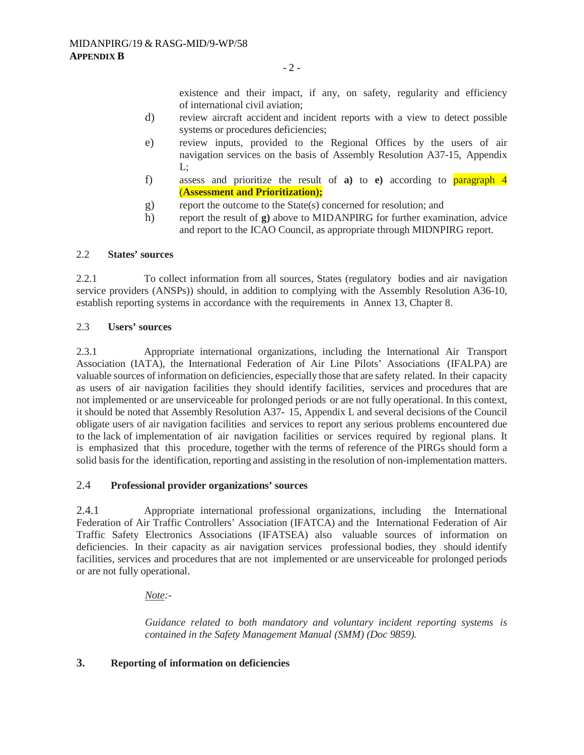existence and their impact, if any, on safety, regularity and efficiency of international civil aviation;

- d) review aircraft accident and incident reports with a view to detect possible systems or procedures deficiencies;
- e) review inputs, provided to the Regional Offices by the users of air navigation services on the basis of Assembly Resolution A37-15, Appendix L;
- f) assess and prioritize the result of **a)** to **e)** according to paragraph 4 (**Assessment and Prioritization);**
- g) report the outcome to the State(s) concerned for resolution; and
- h) report the result of **g)** above to MIDANPIRG for further examination, advice and report to the ICAO Council, as appropriate through MIDNPIRG report.

### 2.2 **States' sources**

2.2.1 To collect information from all sources, States (regulatory bodies and air navigation service providers (ANSPs)) should, in addition to complying with the Assembly Resolution A36-10, establish reporting systems in accordance with the requirements in Annex 13, Chapter 8.

### 2.3 **Users' sources**

2.3.1 Appropriate international organizations, including the International Air Transport Association (IATA), the International Federation of Air Line Pilots' Associations (IFALPA) are valuable sources of information on deficiencies, especially those that are safety related. In their capacity as users of air navigation facilities they should identify facilities, services and procedures that are not implemented or are unserviceable for prolonged periods or are not fully operational. In this context, it should be noted that Assembly Resolution A37- 15, Appendix L and several decisions of the Council obligate users of air navigation facilities and services to report any serious problems encountered due to the lack of implementation of air navigation facilities or services required by regional plans. It is emphasized that this procedure, together with the terms of reference of the PIRGs should form a solid basisfor the identification, reporting and assisting in the resolution of non-implementation matters.

## 2.4 **Professional provider organizations' sources**

2.4.1 Appropriate international professional organizations, including the International Federation of Air Traffic Controllers' Association (IFATCA) and the International Federation of Air Traffic Safety Electronics Associations (IFATSEA) also valuable sources of information on deficiencies. In their capacity as air navigation services professional bodies, they should identify facilities, services and procedures that are not implemented or are unserviceable for prolonged periods or are not fully operational.

## *Note:-*

*Guidance related to both mandatory and voluntary incident reporting systems is contained in the Safety Management Manual (SMM) (Doc 9859).*

## **3. Reporting of information on deficiencies**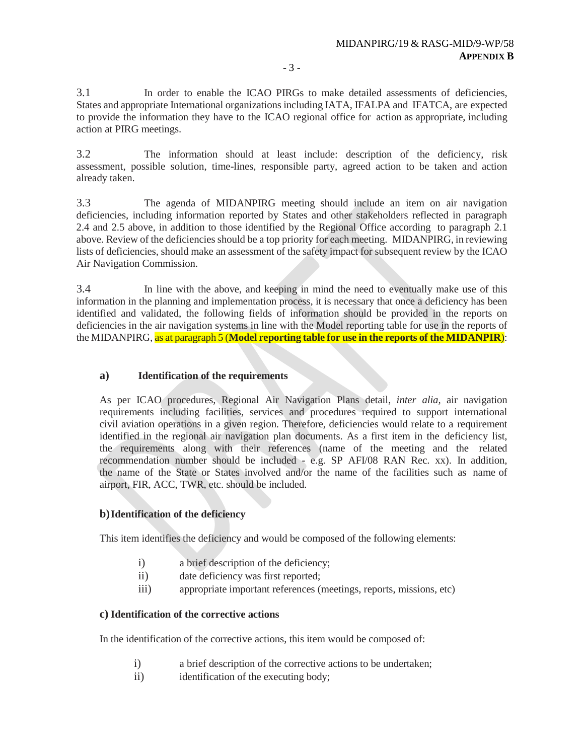3.1 In order to enable the ICAO PIRGs to make detailed assessments of deficiencies, States and appropriate International organizations including IATA, IFALPA and IFATCA, are expected to provide the information they have to the ICAO regional office for action as appropriate, including action at PIRG meetings.

3.2 The information should at least include: description of the deficiency, risk assessment, possible solution, time-lines, responsible party, agreed action to be taken and action already taken.

3.3 The agenda of MIDANPIRG meeting should include an item on air navigation deficiencies, including information reported by States and other stakeholders reflected in paragraph 2.4 and 2.5 above, in addition to those identified by the Regional Office according to paragraph 2.1 above. Review of the deficiencies should be a top priority for each meeting. MIDANPIRG, in reviewing lists of deficiencies, should make an assessment of the safety impact for subsequent review by the ICAO Air Navigation Commission.

3.4 In line with the above, and keeping in mind the need to eventually make use of this information in the planning and implementation process, it is necessary that once a deficiency has been identified and validated, the following fields of information should be provided in the reports on deficiencies in the air navigation systems in line with the Model reporting table for use in the reports of the MIDANPIRG, as at paragraph 5 (**Model reporting table for use in the reports of the MIDANPIR**):

## **a) Identification of the requirements**

As per ICAO procedures, Regional Air Navigation Plans detail, *inter alia,* air navigation requirements including facilities, services and procedures required to support international civil aviation operations in a given region. Therefore, deficiencies would relate to a requirement identified in the regional air navigation plan documents. As a first item in the deficiency list, the requirements along with their references (name of the meeting and the related recommendation number should be included - e.g. SP AFI/08 RAN Rec. xx). In addition, the name of the State or States involved and/or the name of the facilities such as name of airport, FIR, ACC, TWR, etc. should be included.

## **b)Identification of the deficiency**

This item identifies the deficiency and would be composed of the following elements:

- i) a brief description of the deficiency;
- ii) date deficiency was first reported;
- iii) appropriate important references (meetings, reports, missions, etc)

## **c) Identification of the corrective actions**

In the identification of the corrective actions, this item would be composed of:

- i) a brief description of the corrective actions to be undertaken;
- ii) identification of the executing body;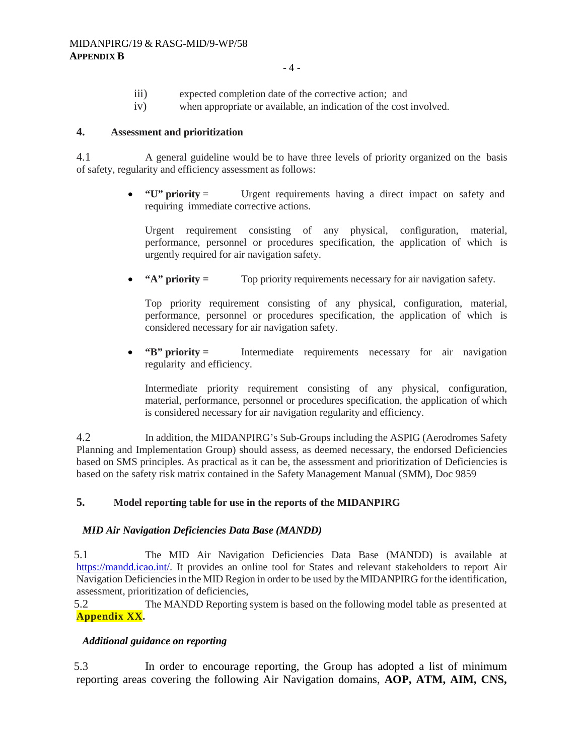- iii) expected completion date of the corrective action; and
- iv) when appropriate or available, an indication of the cost involved.

## **4. Assessment and prioritization**

4.1 A general guideline would be to have three levels of priority organized on the basis of safety, regularity and efficiency assessment as follows:

> • **"U" priority** = Urgent requirements having a direct impact on safety and requiring immediate corrective actions.

Urgent requirement consisting of any physical, configuration, material, performance, personnel or procedures specification, the application of which is urgently required for air navigation safety.

• **"A" priority =** Top priority requirements necessary for air navigation safety.

Top priority requirement consisting of any physical, configuration, material, performance, personnel or procedures specification, the application of which is considered necessary for air navigation safety.

• **"B" priority** = Intermediate requirements necessary for air navigation regularity and efficiency.

Intermediate priority requirement consisting of any physical, configuration, material, performance, personnel or procedures specification, the application of which is considered necessary for air navigation regularity and efficiency.

4.2 In addition, the MIDANPIRG's Sub-Groups including the ASPIG (Aerodromes Safety Planning and Implementation Group) should assess, as deemed necessary, the endorsed Deficiencies based on SMS principles. As practical as it can be, the assessment and prioritization of Deficiencies is based on the safety risk matrix contained in the Safety Management Manual (SMM), Doc 9859

## **5. Model reporting table for use in the reports of the MIDANPIRG**

## *MID Air Navigation Deficiencies Data Base (MANDD)*

5.1 The MID Air Navigation Deficiencies Data Base (MANDD) is available at [https://mandd.icao.int/.](https://mandd.icao.int/) It provides an online tool for States and relevant stakeholders to report Air Navigation Deficiencies in the MID Region in order to be used by the MIDANPIRG for the identification, assessment, prioritization of deficiencies,

5.2 The MANDD Reporting system is based on the following model table as presented at **Appendix XX.**

#### *Additional guidance on reporting*

5.3 In order to encourage reporting, the Group has adopted a list of minimum reporting areas covering the following Air Navigation domains, **AOP, ATM, AIM, CNS,**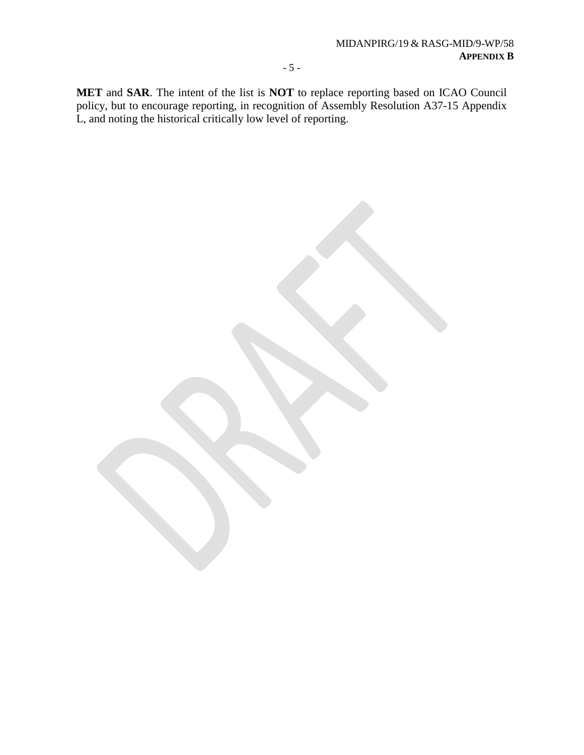**MET** and **SAR**. The intent of the list is **NOT** to replace reporting based on ICAO Council policy, but to encourage reporting, in recognition of Assembly Resolution A37-15 Appendix L, and noting the historical critically low level of reporting.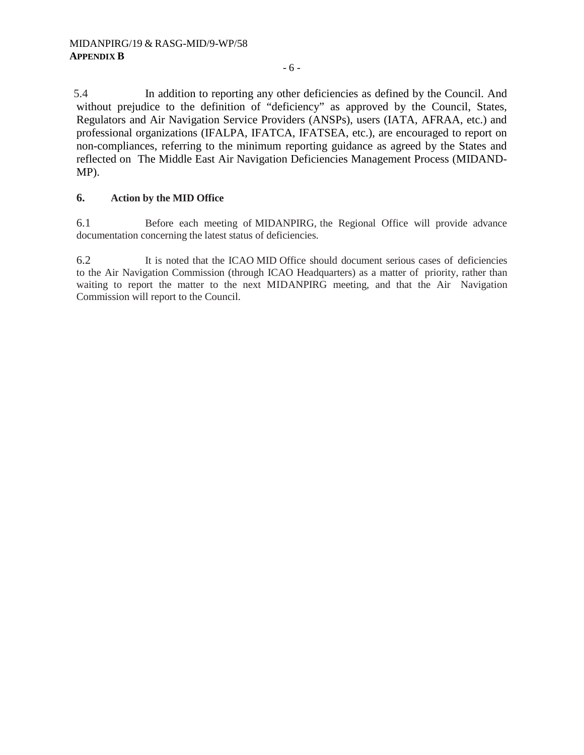5.4 In addition to reporting any other deficiencies as defined by the Council. And without prejudice to the definition of "deficiency" as approved by the Council, States, Regulators and Air Navigation Service Providers (ANSPs), users (IATA, AFRAA, etc.) and professional organizations (IFALPA, IFATCA, IFATSEA, etc.), are encouraged to report on non-compliances, referring to the minimum reporting guidance as agreed by the States and reflected on The Middle East Air Navigation Deficiencies Management Process (MIDAND-MP).

## **6. Action by the MID Office**

6.1 Before each meeting of MIDANPIRG, the Regional Office will provide advance documentation concerning the latest status of deficiencies.

6.2 It is noted that the ICAO MID Office should document serious cases of deficiencies to the Air Navigation Commission (through ICAO Headquarters) as a matter of priority, rather than waiting to report the matter to the next MIDANPIRG meeting, and that the Air Navigation Commission will report to the Council.